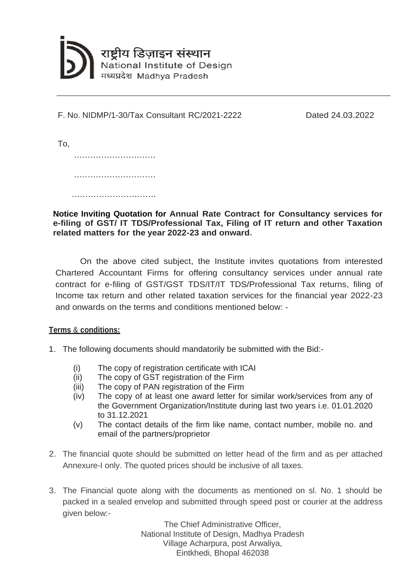

F. No. NIDMP/1-30/Tax Consultant RC/2021-2222

Dated 24.03.2022

To, …………………………………… …………………………  $\mathcal{L}_{\text{max}}$  . The contract of the contract of the contract of the contract of the contract of the contract of

**Notice Inviting Quotation for Annual Rate Contract for Consultancy services for e-filing of GST/ IT TDS/Professional Tax, Filing of IT return and other Taxation related matters for the year 2022-23 and onward.**

On the above cited subject, the Institute invites quotations from interested Chartered Accountant Firms for offering consultancy services under annual rate contract for e-filing of GST/GST TDS/IT/IT TDS/Professional Tax returns, filing of Income tax return and other related taxation services for the financial year 2022-23 and onwards on the terms and conditions mentioned below: -

## **Terms** & **conditions:**

- 1. The following documents should mandatorily be submitted with the Bid:-
	- (i) The copy of registration certificate with ICAI
	- (ii) The copy of GST registration of the Firm
	- (iii) The copy of PAN registration of the Firm
	- (iv) The copy of at least one award letter for similar work/services from any of the Government Organization/Institute during last two years i.e. 01.01.2020 to 31.12.2021
	- (v) The contact details of the firm like name, contact number, mobile no. and email of the partners/proprietor
- 2. The financial quote should be submitted on letter head of the firm and as per attached Annexure-I only. The quoted prices should be inclusive of all taxes.
- 3. The Financial quote along with the documents as mentioned on sl. No. 1 should be packed in a sealed envelop and submitted through speed post or courier at the address given below:-

The Chief Administrative Officer, National Institute of Design, Madhya Pradesh Village Acharpura, post Arwaliya, Eintkhedi, Bhopal 462038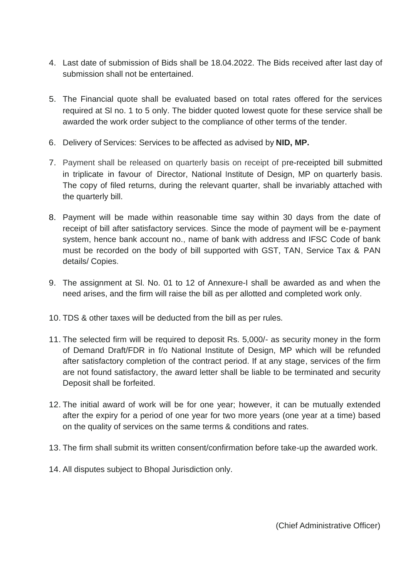- 4. Last date of submission of Bids shall be 18.04.2022. The Bids received after last day of submission shall not be entertained.
- 5. The Financial quote shall be evaluated based on total rates offered for the services required at Sl no. 1 to 5 only. The bidder quoted lowest quote for these service shall be awarded the work order subject to the compliance of other terms of the tender.
- 6. Delivery of Services: Services to be affected as advised by **NID, MP.**
- 7. Payment shall be released on quarterly basis on receipt of pre-receipted bill submitted in triplicate in favour of Director, National Institute of Design, MP on quarterly basis. The copy of filed returns, during the relevant quarter, shall be invariably attached with the quarterly bill.
- 8. Payment will be made within reasonable time say within 30 days from the date of receipt of bill after satisfactory services. Since the mode of payment will be e-payment system, hence bank account no., name of bank with address and IFSC Code of bank must be recorded on the body of bill supported with GST, TAN, Service Tax & PAN details/ Copies.
- 9. The assignment at Sl. No. 01 to 12 of Annexure-I shall be awarded as and when the need arises, and the firm will raise the bill as per allotted and completed work only.
- 10. TDS & other taxes will be deducted from the bill as per rules.
- 11. The selected firm will be required to deposit Rs. 5,000/- as security money in the form of Demand Draft/FDR in f/o National Institute of Design, MP which will be refunded after satisfactory completion of the contract period. If at any stage, services of the firm are not found satisfactory, the award letter shall be liable to be terminated and security Deposit shall be forfeited.
- 12. The initial award of work will be for one year; however, it can be mutually extended after the expiry for a period of one year for two more years (one year at a time) based on the quality of services on the same terms & conditions and rates.
- 13. The firm shall submit its written consent/confirmation before take-up the awarded work.
- 14. All disputes subject to Bhopal Jurisdiction only.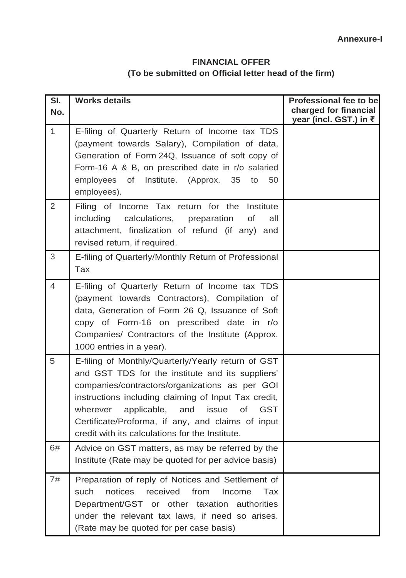## **FINANCIAL OFFER (To be submitted on Official letter head of the firm)**

| SI.<br>No.     | <b>Works details</b>                                                                                                                                                                                                                                                                                                                                                              | <b>Professional fee to be</b><br>charged for financial<br>year (incl. GST.) in ₹ |
|----------------|-----------------------------------------------------------------------------------------------------------------------------------------------------------------------------------------------------------------------------------------------------------------------------------------------------------------------------------------------------------------------------------|----------------------------------------------------------------------------------|
| $\mathbf{1}$   | E-filing of Quarterly Return of Income tax TDS<br>(payment towards Salary), Compilation of data,<br>Generation of Form 24Q, Issuance of soft copy of<br>Form-16 A & B, on prescribed date in r/o salaried<br>employees of Institute. (Approx.<br>35<br>to<br>50<br>employees).                                                                                                    |                                                                                  |
| 2              | Filing of Income Tax return for the Institute<br>including<br>calculations,<br>of<br>preparation<br>all<br>attachment, finalization of refund (if any)<br>and<br>revised return, if required.                                                                                                                                                                                     |                                                                                  |
| 3              | E-filing of Quarterly/Monthly Return of Professional<br><b>Tax</b>                                                                                                                                                                                                                                                                                                                |                                                                                  |
| $\overline{4}$ | E-filing of Quarterly Return of Income tax TDS<br>(payment towards Contractors), Compilation of<br>data, Generation of Form 26 Q, Issuance of Soft<br>copy of Form-16 on prescribed date in r/o<br>Companies/ Contractors of the Institute (Approx.<br>1000 entries in a year).                                                                                                   |                                                                                  |
| 5              | E-filing of Monthly/Quarterly/Yearly return of GST<br>and GST TDS for the institute and its suppliers'<br>companies/contractors/organizations as per GOI<br>instructions including claiming of Input Tax credit,<br>applicable, and issue<br><b>GST</b><br>0f<br>wherever<br>Certificate/Proforma, if any, and claims of input<br>credit with its calculations for the Institute. |                                                                                  |
| 6#             | Advice on GST matters, as may be referred by the<br>Institute (Rate may be quoted for per advice basis)                                                                                                                                                                                                                                                                           |                                                                                  |
| 7#             | Preparation of reply of Notices and Settlement of<br>notices<br>received<br>such<br>from<br>Income<br>Tax<br>Department/GST or other taxation authorities<br>under the relevant tax laws, if need so arises.<br>(Rate may be quoted for per case basis)                                                                                                                           |                                                                                  |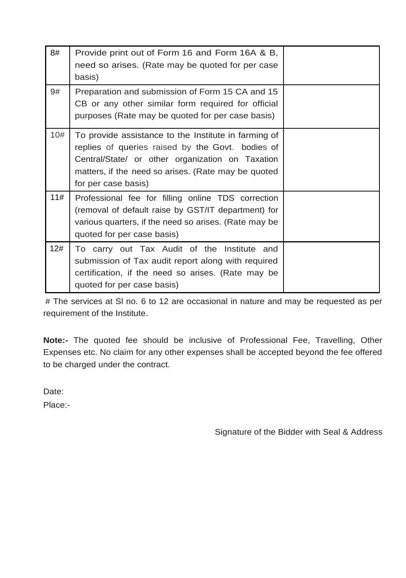| 8#  | Provide print out of Form 16 and Form 16A & B,<br>need so arises. (Rate may be quoted for per case<br>basis)                                                                                                                               |  |
|-----|--------------------------------------------------------------------------------------------------------------------------------------------------------------------------------------------------------------------------------------------|--|
| 9#  | Preparation and submission of Form 15 CA and 15<br>CB or any other similar form required for official<br>purposes (Rate may be quoted for per case basis)                                                                                  |  |
| 10# | To provide assistance to the Institute in farming of<br>replies of queries raised by the Govt. bodies of<br>Central/State/ or other organization on Taxation<br>matters, if the need so arises. (Rate may be quoted<br>for per case basis) |  |
| 11# | Professional fee for filling online TDS correction<br>(removal of default raise by GST/IT department) for<br>various quarters, if the need so arises. (Rate may be<br>quoted for per case basis)                                           |  |
| 12# | To carry out Tax Audit of the Institute and<br>submission of Tax audit report along with required<br>certification, if the need so arises. (Rate may be<br>quoted for per case basis)                                                      |  |

# The services at Sl no. 6 to 12 are occasional in nature and may be requested as per requirement of the Institute.

**Note:-** The quoted fee should be inclusive of Professional Fee, Travelling, Other Expenses etc. No claim for any other expenses shall be accepted beyond the fee offered to be charged under the contract.

Date:

Place:-

Signature of the Bidder with Seal & Address